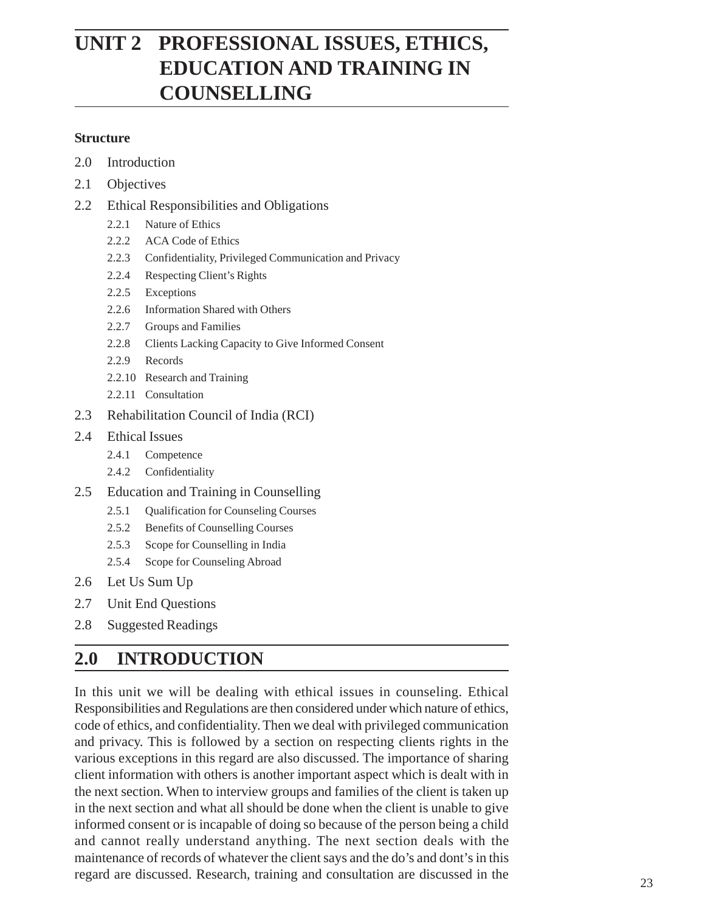# **COUNIT 2 PROFESSIONAL ISSUES, ETHICS, EDUCATION AND TRAINING IN COUNSELLING**

#### **Structure**

- 2.0 Introduction
- 2.1 Objectives
- 2.2 Ethical Responsibilities and Obligations
	- 2.2.1 Nature of Ethics
	- 2.2.2 ACA Code of Ethics
	- 2.2.3 Confidentiality, Privileged Communication and Privacy
	- 2.2.4 Respecting Client's Rights
	- 2.2.5 Exceptions
	- 2.2.6 Information Shared with Others
	- 2.2.7 Groups and Families
	- 2.2.8 Clients Lacking Capacity to Give Informed Consent
	- 2.2.9 Records
	- 2.2.10 Research and Training
	- 2.2.11 Consultation
- 2.3 Rehabilitation Council of India (RCI)
- 2.4 Ethical Issues
	- 2.4.1 Competence
	- 2.4.2 Confidentiality
- 2.5 Education and Training in Counselling
	- 2.5.1 Qualification for Counseling Courses
	- 2.5.2 Benefits of Counselling Courses
	- 2.5.3 Scope for Counselling in India
	- 2.5.4 Scope for Counseling Abroad
- 2.6 Let Us Sum Up
- 2.7 Unit End Questions
- 2.8 Suggested Readings

# **2.0 INTRODUCTION**

In this unit we will be dealing with ethical issues in counseling. Ethical Responsibilities and Regulations are then considered under which nature of ethics, code of ethics, and confidentiality. Then we deal with privileged communication and privacy. This is followed by a section on respecting clients rights in the various exceptions in this regard are also discussed. The importance of sharing client information with others is another important aspect which is dealt with in the next section. When to interview groups and families of the client is taken up in the next section and what all should be done when the client is unable to give informed consent or is incapable of doing so because of the person being a child and cannot really understand anything. The next section deals with the maintenance of records of whatever the client says and the do's and dont's in this regard are discussed. Research, training and consultation are discussed in the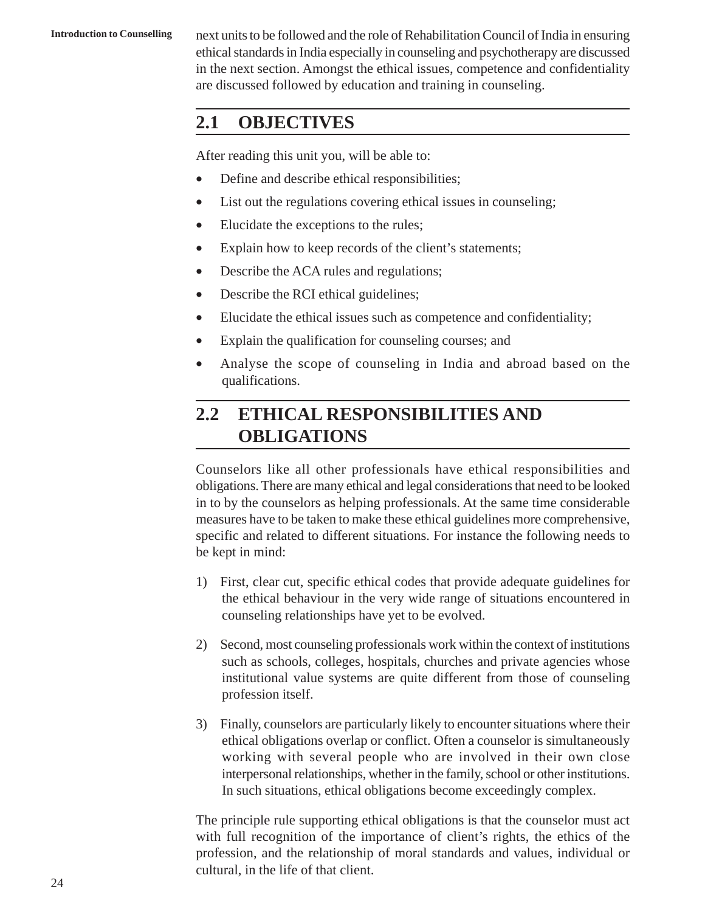**Introduction to Counselling** next units to be followed and the role of Rehabilitation Council of India in ensuring ethical standards in India especially in counseling and psychotherapy are discussed in the next section. Amongst the ethical issues, competence and confidentiality are discussed followed by education and training in counseling.

# **2.1 OBJECTIVES**

After reading this unit you, will be able to:

- Define and describe ethical responsibilities;
- List out the regulations covering ethical issues in counseling;
- Elucidate the exceptions to the rules;
- Explain how to keep records of the client's statements;
- Describe the ACA rules and regulations;
- Describe the RCI ethical guidelines;
- Elucidate the ethical issues such as competence and confidentiality;
- Explain the qualification for counseling courses; and
- Analyse the scope of counseling in India and abroad based on the qualifications.

# **2.2 ETHICAL RESPONSIBILITIES AND OBLIGATIONS**

Counselors like all other professionals have ethical responsibilities and obligations. There are many ethical and legal considerations that need to be looked in to by the counselors as helping professionals. At the same time considerable measures have to be taken to make these ethical guidelines more comprehensive, specific and related to different situations. For instance the following needs to be kept in mind:

- 1) First, clear cut, specific ethical codes that provide adequate guidelines for the ethical behaviour in the very wide range of situations encountered in counseling relationships have yet to be evolved.
- 2) Second, most counseling professionals work within the context of institutions such as schools, colleges, hospitals, churches and private agencies whose institutional value systems are quite different from those of counseling profession itself.
- 3) Finally, counselors are particularly likely to encounter situations where their ethical obligations overlap or conflict. Often a counselor is simultaneously working with several people who are involved in their own close interpersonal relationships, whether in the family, school or other institutions. In such situations, ethical obligations become exceedingly complex.

The principle rule supporting ethical obligations is that the counselor must act with full recognition of the importance of client's rights, the ethics of the profession, and the relationship of moral standards and values, individual or cultural, in the life of that client.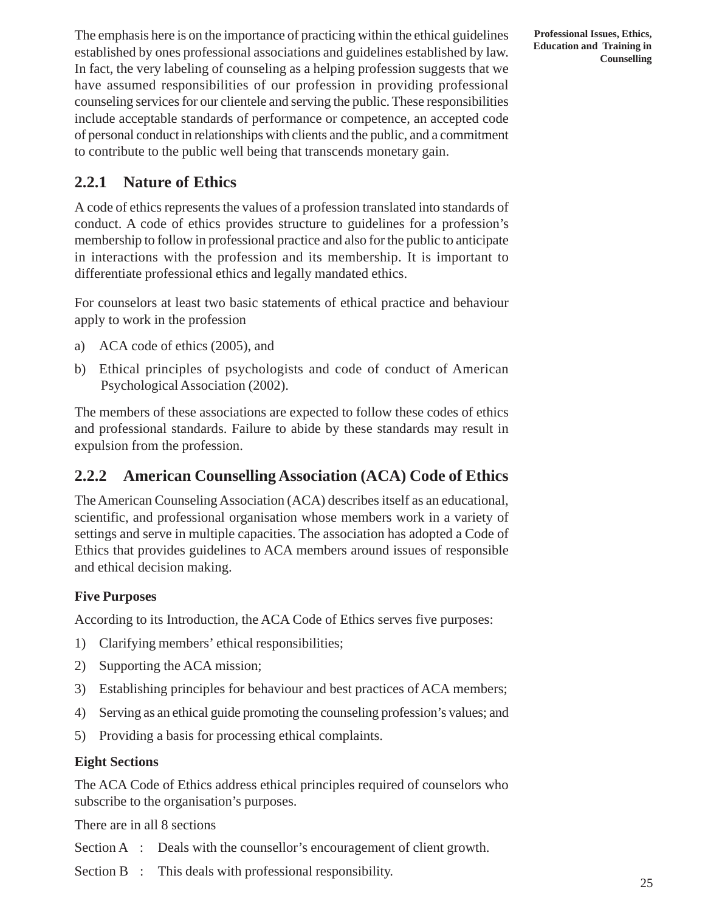The emphasis here is on the importance of practicing within the ethical guidelines established by ones professional associations and guidelines established by law. In fact, the very labeling of counseling as a helping profession suggests that we have assumed responsibilities of our profession in providing professional counseling services for our clientele and serving the public. These responsibilities include acceptable standards of performance or competence, an accepted code of personal conduct in relationships with clients and the public, and a commitment to contribute to the public well being that transcends monetary gain.

## **2.2.1 Nature of Ethics**

A code of ethics represents the values of a profession translated into standards of conduct. A code of ethics provides structure to guidelines for a profession's membership to follow in professional practice and also for the public to anticipate in interactions with the profession and its membership. It is important to differentiate professional ethics and legally mandated ethics.

For counselors at least two basic statements of ethical practice and behaviour apply to work in the profession

- a) ACA code of ethics (2005), and
- b) Ethical principles of psychologists and code of conduct of American Psychological Association (2002).

The members of these associations are expected to follow these codes of ethics and professional standards. Failure to abide by these standards may result in expulsion from the profession.

## **2.2.2 American Counselling Association (ACA) Code of Ethics**

The American Counseling Association (ACA) describes itself as an educational, scientific, and professional organisation whose members work in a variety of settings and serve in multiple capacities. The association has adopted a Code of Ethics that provides guidelines to ACA members around issues of responsible and ethical decision making.

### **Five Purposes**

According to its Introduction, the ACA Code of Ethics serves five purposes:

- 1) Clarifying members' ethical responsibilities;
- 2) Supporting the ACA mission;
- 3) Establishing principles for behaviour and best practices of ACA members;
- 4) Serving as an ethical guide promoting the counseling profession's values; and
- 5) Providing a basis for processing ethical complaints.

### **Eight Sections**

The ACA Code of Ethics address ethical principles required of counselors who subscribe to the organisation's purposes.

There are in all 8 sections

- Section A : Deals with the counsellor's encouragement of client growth.
- Section B : This deals with professional responsibility.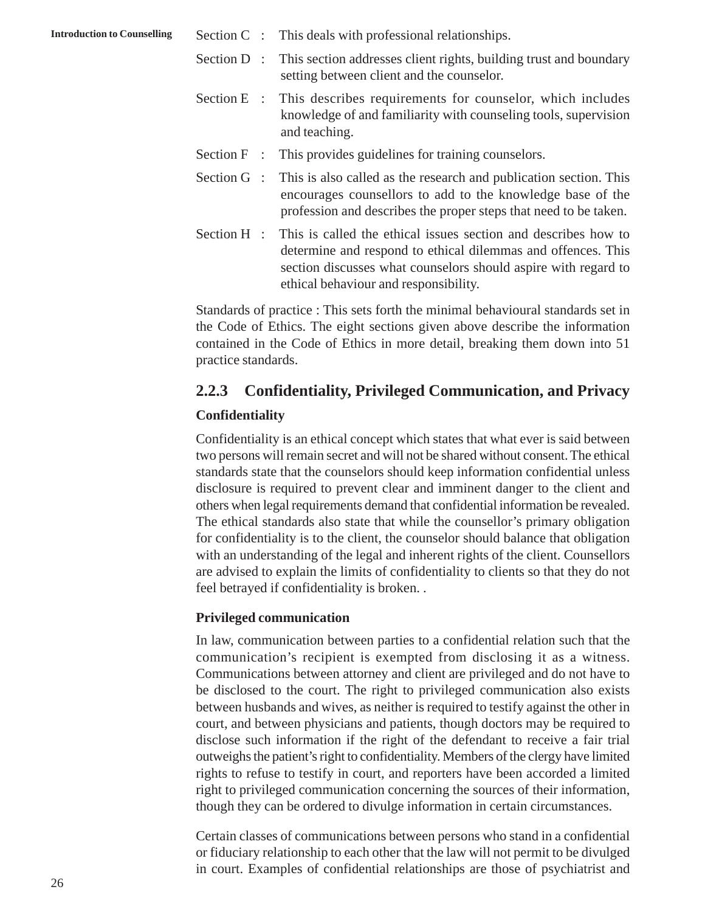- **Introduction to Counselling** Section C : This deals with professional relationships.
	- Section D : This section addresses client rights, building trust and boundary setting between client and the counselor.
	- Section E : This describes requirements for counselor, which includes knowledge of and familiarity with counseling tools, supervision and teaching.
	- Section F : This provides guidelines for training counselors.
	- Section G : This is also called as the research and publication section. This encourages counsellors to add to the knowledge base of the profession and describes the proper steps that need to be taken.
	- Section H : This is called the ethical issues section and describes how to determine and respond to ethical dilemmas and offences. This section discusses what counselors should aspire with regard to ethical behaviour and responsibility.

Standards of practice : This sets forth the minimal behavioural standards set in the Code of Ethics. The eight sections given above describe the information contained in the Code of Ethics in more detail, breaking them down into 51 practice standards.

### **2.2.3 Confidentiality, Privileged Communication, and Privacy**

#### **Confidentiality**

Confidentiality is an ethical concept which states that what ever is said between two persons will remain secret and will not be shared without consent. The ethical standards state that the counselors should keep information confidential unless disclosure is required to prevent clear and imminent danger to the client and others when legal requirements demand that confidential information be revealed. The ethical standards also state that while the counsellor's primary obligation for confidentiality is to the client, the counselor should balance that obligation with an understanding of the legal and inherent rights of the client. Counsellors are advised to explain the limits of confidentiality to clients so that they do not feel betrayed if confidentiality is broken. .

#### **Privileged communication**

In law, communication between parties to a confidential relation such that the communication's recipient is exempted from disclosing it as a witness. Communications between attorney and client are privileged and do not have to be disclosed to the court. The right to privileged communication also exists between husbands and wives, as neither is required to testify against the other in court, and between physicians and patients, though doctors may be required to disclose such information if the right of the defendant to receive a fair trial outweighs the patient's right to confidentiality. Members of the clergy have limited rights to refuse to testify in court, and reporters have been accorded a limited right to privileged communication concerning the sources of their information, though they can be ordered to divulge information in certain circumstances.

Certain classes of communications between persons who stand in a confidential or fiduciary relationship to each other that the law will not permit to be divulged in court. Examples of confidential relationships are those of psychiatrist and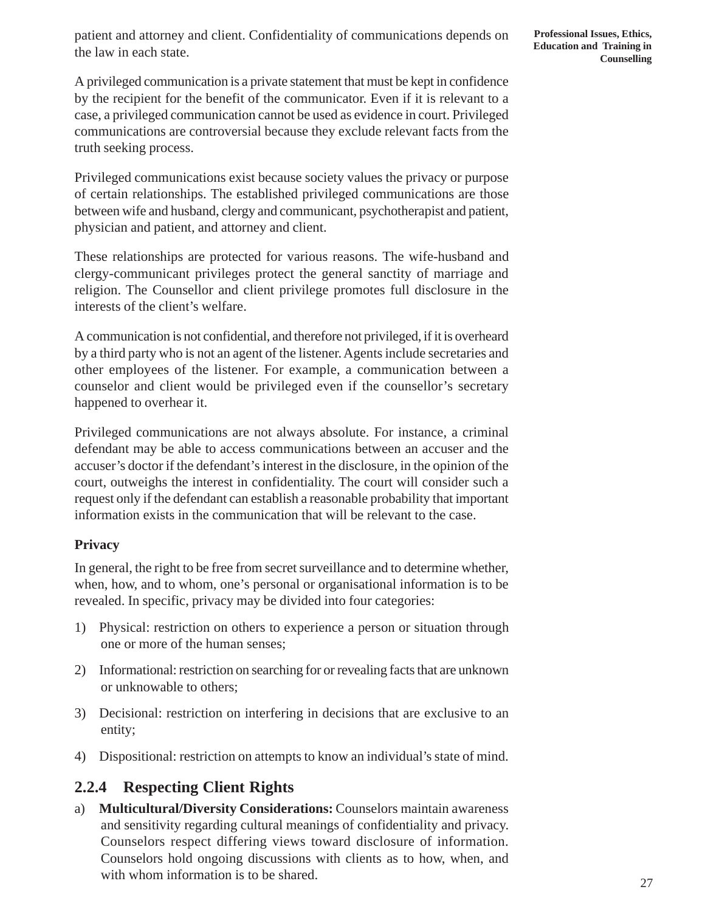A privileged communication is a private statement that must be kept in confidence by the recipient for the benefit of the communicator. Even if it is relevant to a case, a privileged communication cannot be used as evidence in court. Privileged communications are controversial because they exclude relevant facts from the truth seeking process.

Privileged communications exist because society values the privacy or purpose of certain relationships. The established privileged communications are those between wife and husband, clergy and communicant, psychotherapist and patient, physician and patient, and attorney and client.

These relationships are protected for various reasons. The wife-husband and clergy-communicant privileges protect the general sanctity of marriage and religion. The Counsellor and client privilege promotes full disclosure in the interests of the client's welfare.

A communication is not confidential, and therefore not privileged, if it is overheard by a third party who is not an agent of the listener. Agents include secretaries and other employees of the listener. For example, a communication between a counselor and client would be privileged even if the counsellor's secretary happened to overhear it.

Privileged communications are not always absolute. For instance, a criminal defendant may be able to access communications between an accuser and the accuser's doctor if the defendant's interest in the disclosure, in the opinion of the court, outweighs the interest in confidentiality. The court will consider such a request only if the defendant can establish a reasonable probability that important information exists in the communication that will be relevant to the case.

### **Privacy**

In general, the right to be free from secret surveillance and to determine whether, when, how, and to whom, one's personal or organisational information is to be revealed. In specific, privacy may be divided into four categories:

- 1) Physical: restriction on others to experience a person or situation through one or more of the human senses;
- 2) Informational: restriction on searching for or revealing facts that are unknown or unknowable to others;
- 3) Decisional: restriction on interfering in decisions that are exclusive to an entity;
- 4) Dispositional: restriction on attempts to know an individual's state of mind.

# **2.2.4 Respecting Client Rights**

a) **Multicultural/Diversity Considerations:** Counselors maintain awareness and sensitivity regarding cultural meanings of confidentiality and privacy. Counselors respect differing views toward disclosure of information. Counselors hold ongoing discussions with clients as to how, when, and with whom information is to be shared.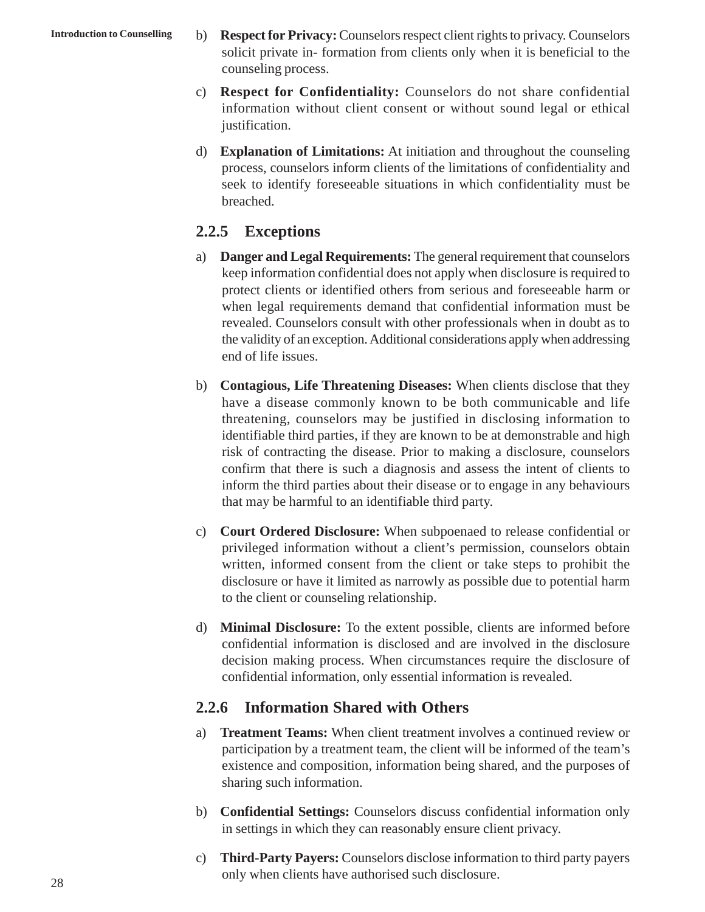- **Introduction to Counselling** b) **Respect for Privacy:** Counselors respect client rights to privacy. Counselors solicit private in- formation from clients only when it is beneficial to the counseling process.
	- c) **Respect for Confidentiality:** Counselors do not share confidential information without client consent or without sound legal or ethical justification.
	- d) **Explanation of Limitations:** At initiation and throughout the counseling process, counselors inform clients of the limitations of confidentiality and seek to identify foreseeable situations in which confidentiality must be breached.

### **2.2.5 Exceptions**

- a) **Danger and Legal Requirements:** The general requirement that counselors keep information confidential does not apply when disclosure is required to protect clients or identified others from serious and foreseeable harm or when legal requirements demand that confidential information must be revealed. Counselors consult with other professionals when in doubt as to the validity of an exception. Additional considerations apply when addressing end of life issues.
- b) **Contagious, Life Threatening Diseases:** When clients disclose that they have a disease commonly known to be both communicable and life threatening, counselors may be justified in disclosing information to identifiable third parties, if they are known to be at demonstrable and high risk of contracting the disease. Prior to making a disclosure, counselors confirm that there is such a diagnosis and assess the intent of clients to inform the third parties about their disease or to engage in any behaviours that may be harmful to an identifiable third party.
- c) **Court Ordered Disclosure:** When subpoenaed to release confidential or privileged information without a client's permission, counselors obtain written, informed consent from the client or take steps to prohibit the disclosure or have it limited as narrowly as possible due to potential harm to the client or counseling relationship.
- d) **Minimal Disclosure:** To the extent possible, clients are informed before confidential information is disclosed and are involved in the disclosure decision making process. When circumstances require the disclosure of confidential information, only essential information is revealed.

## **2.2.6 Information Shared with Others**

- a) **Treatment Teams:** When client treatment involves a continued review or participation by a treatment team, the client will be informed of the team's existence and composition, information being shared, and the purposes of sharing such information.
- b) **Confidential Settings:** Counselors discuss confidential information only in settings in which they can reasonably ensure client privacy.
- c) **Third-Party Payers:** Counselors disclose information to third party payers only when clients have authorised such disclosure.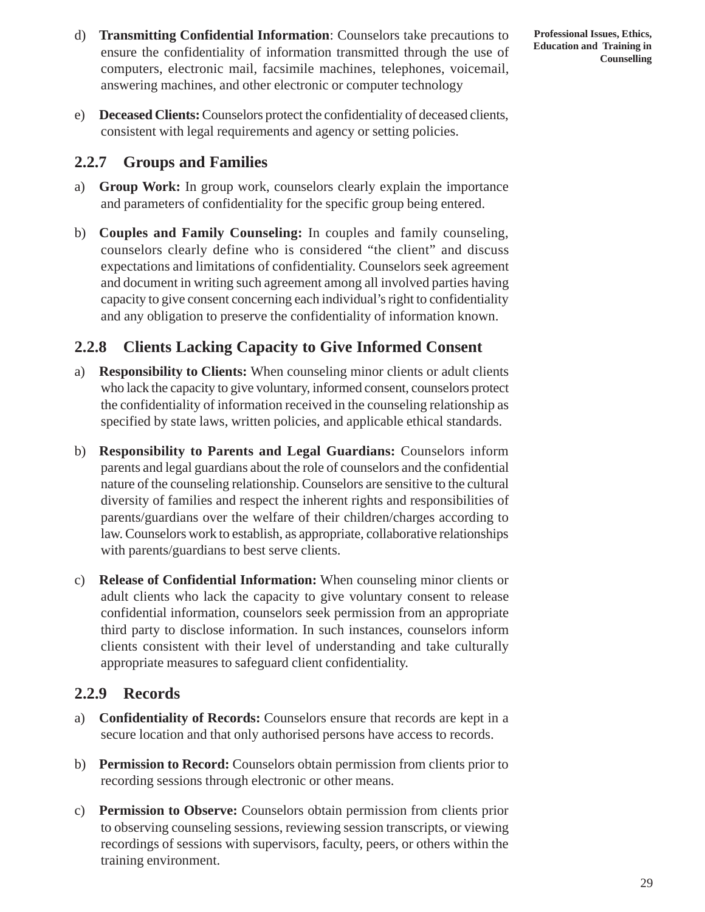- d) **Transmitting Confidential Information**: Counselors take precautions to ensure the confidentiality of information transmitted through the use of computers, electronic mail, facsimile machines, telephones, voicemail, answering machines, and other electronic or computer technology
- e) **Deceased Clients:** Counselors protect the confidentiality of deceased clients, consistent with legal requirements and agency or setting policies.

### **2.2.7 Groups and Families**

- a) **Group Work:** In group work, counselors clearly explain the importance and parameters of confidentiality for the specific group being entered.
- b) **Couples and Family Counseling:** In couples and family counseling, counselors clearly define who is considered "the client" and discuss expectations and limitations of confidentiality. Counselors seek agreement and document in writing such agreement among all involved parties having capacity to give consent concerning each individual's right to confidentiality and any obligation to preserve the confidentiality of information known.

## **2.2.8 Clients Lacking Capacity to Give Informed Consent**

- a) **Responsibility to Clients:** When counseling minor clients or adult clients who lack the capacity to give voluntary, informed consent, counselors protect the confidentiality of information received in the counseling relationship as specified by state laws, written policies, and applicable ethical standards.
- b) **Responsibility to Parents and Legal Guardians:** Counselors inform parents and legal guardians about the role of counselors and the confidential nature of the counseling relationship. Counselors are sensitive to the cultural diversity of families and respect the inherent rights and responsibilities of parents/guardians over the welfare of their children/charges according to law. Counselors work to establish, as appropriate, collaborative relationships with parents/guardians to best serve clients.
- c) **Release of Confidential Information:** When counseling minor clients or adult clients who lack the capacity to give voluntary consent to release confidential information, counselors seek permission from an appropriate third party to disclose information. In such instances, counselors inform clients consistent with their level of understanding and take culturally appropriate measures to safeguard client confidentiality.

## **2.2.9 Records**

- a) **Confidentiality of Records:** Counselors ensure that records are kept in a secure location and that only authorised persons have access to records.
- b) **Permission to Record:** Counselors obtain permission from clients prior to recording sessions through electronic or other means.
- c) **Permission to Observe:** Counselors obtain permission from clients prior to observing counseling sessions, reviewing session transcripts, or viewing recordings of sessions with supervisors, faculty, peers, or others within the training environment.

**Professional Issues, Ethics, Education and Training in Counselling**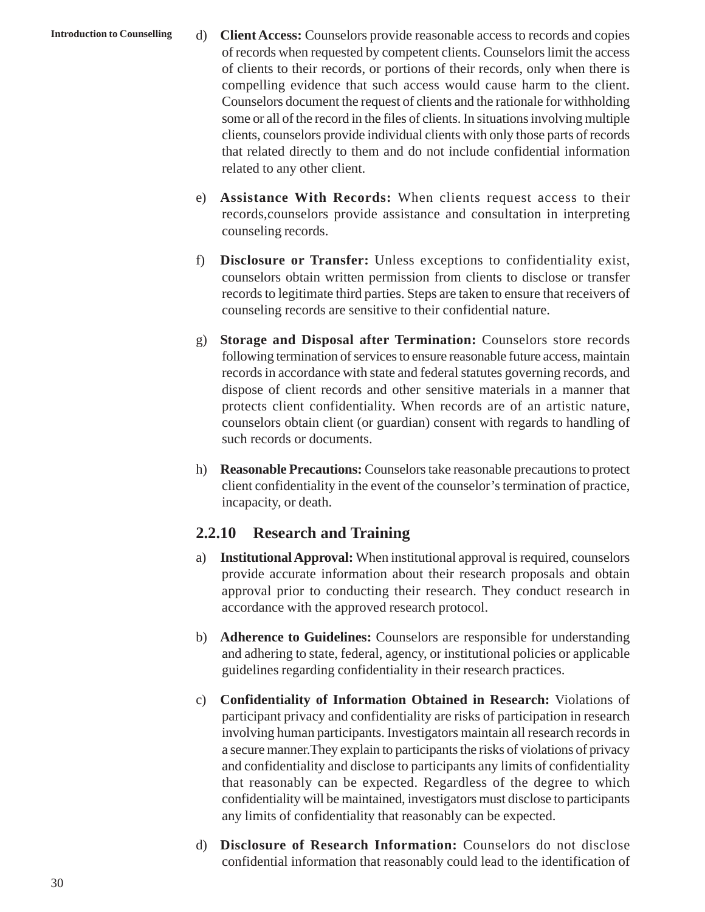- **Introduction to Counselling** d) **Client Access:** Counselors provide reasonable access to records and copies of records when requested by competent clients. Counselors limit the access of clients to their records, or portions of their records, only when there is compelling evidence that such access would cause harm to the client. Counselors document the request of clients and the rationale for withholding some or all of the record in the files of clients. In situations involving multiple clients, counselors provide individual clients with only those parts of records that related directly to them and do not include confidential information related to any other client.
	- e) **Assistance With Records:** When clients request access to their records,counselors provide assistance and consultation in interpreting counseling records.
	- f) **Disclosure or Transfer:** Unless exceptions to confidentiality exist, counselors obtain written permission from clients to disclose or transfer records to legitimate third parties. Steps are taken to ensure that receivers of counseling records are sensitive to their confidential nature.
	- g) **Storage and Disposal after Termination:** Counselors store records following termination of services to ensure reasonable future access, maintain records in accordance with state and federal statutes governing records, and dispose of client records and other sensitive materials in a manner that protects client confidentiality. When records are of an artistic nature, counselors obtain client (or guardian) consent with regards to handling of such records or documents.
	- h) **Reasonable Precautions:** Counselors take reasonable precautions to protect client confidentiality in the event of the counselor's termination of practice, incapacity, or death.

### **2.2.10 Research and Training**

- a) **Institutional Approval:** When institutional approval is required, counselors provide accurate information about their research proposals and obtain approval prior to conducting their research. They conduct research in accordance with the approved research protocol.
- b) **Adherence to Guidelines:** Counselors are responsible for understanding and adhering to state, federal, agency, or institutional policies or applicable guidelines regarding confidentiality in their research practices.
- c) **Confidentiality of Information Obtained in Research:** Violations of participant privacy and confidentiality are risks of participation in research involving human participants. Investigators maintain all research records in a secure manner.They explain to participants the risks of violations of privacy and confidentiality and disclose to participants any limits of confidentiality that reasonably can be expected. Regardless of the degree to which confidentiality will be maintained, investigators must disclose to participants any limits of confidentiality that reasonably can be expected.
- d) **Disclosure of Research Information:** Counselors do not disclose confidential information that reasonably could lead to the identification of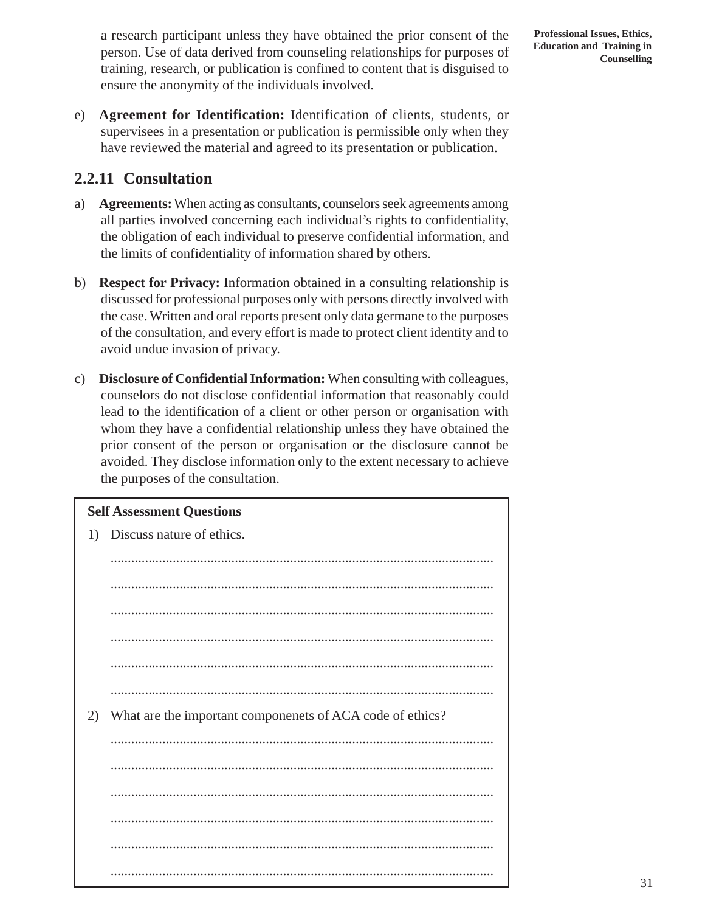a research participant unless they have obtained the prior consent of the person. Use of data derived from counseling relationships for purposes of training, research, or publication is confined to content that is disguised to ensure the anonymity of the individuals involved.

e) **Agreement for Identification:** Identification of clients, students, or supervisees in a presentation or publication is permissible only when they have reviewed the material and agreed to its presentation or publication.

## **2.2.11 Consultation**

- a) **Agreements:** When acting as consultants, counselors seek agreements among all parties involved concerning each individual's rights to confidentiality, the obligation of each individual to preserve confidential information, and the limits of confidentiality of information shared by others.
- b) **Respect for Privacy:** Information obtained in a consulting relationship is discussed for professional purposes only with persons directly involved with the case. Written and oral reports present only data germane to the purposes of the consultation, and every effort is made to protect client identity and to avoid undue invasion of privacy.
- c) **Disclosure of Confidential Information:** When consulting with colleagues, counselors do not disclose confidential information that reasonably could lead to the identification of a client or other person or organisation with whom they have a confidential relationship unless they have obtained the prior consent of the person or organisation or the disclosure cannot be avoided. They disclose information only to the extent necessary to achieve the purposes of the consultation.

| <b>Self Assessment Questions</b> |                                                           |
|----------------------------------|-----------------------------------------------------------|
| 1)                               | Discuss nature of ethics.                                 |
|                                  |                                                           |
|                                  |                                                           |
|                                  |                                                           |
|                                  |                                                           |
|                                  |                                                           |
|                                  |                                                           |
| 2)                               | What are the important componenets of ACA code of ethics? |
|                                  |                                                           |
|                                  |                                                           |
|                                  |                                                           |
|                                  |                                                           |
|                                  |                                                           |
|                                  |                                                           |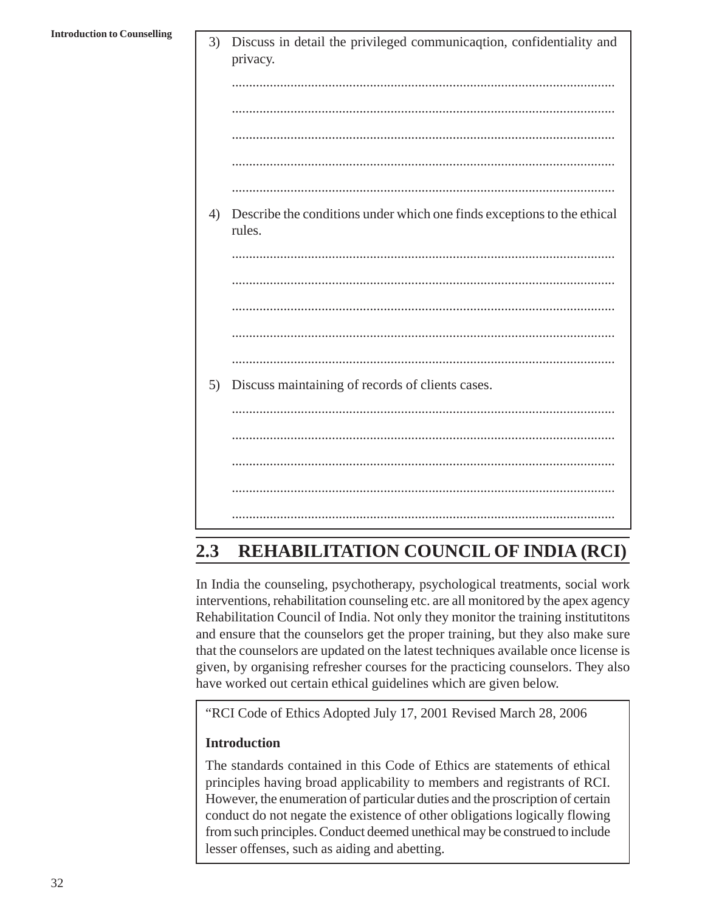Introduction to Counselling 3) Discuss in detail the privileged communicaction, confidentiality and privacy. ............................................................................................................... ............................................................................................................... ............................................................................................................... ............................................................................................................... ............................................................................................................... 4) Describe the conditions under which one finds exceptions to the ethical rules. ............................................................................................................... ............................................................................................................... ............................................................................................................... ............................................................................................................... ............................................................................................................... 5) Discuss maintaining of records of clients cases. ............................................................................................................... ............................................................................................................... ............................................................................................................... ............................................................................................................... ...............................................................................................................

# **2.3 REHABILITATION COUNCIL OF INDIA (RCI)**

In India the counseling, psychotherapy, psychological treatments, social work interventions, rehabilitation counseling etc. are all monitored by the apex agency Rehabilitation Council of India. Not only they monitor the training institutitons and ensure that the counselors get the proper training, but they also make sure that the counselors are updated on the latest techniques available once license is given, by organising refresher courses for the practicing counselors. They also have worked out certain ethical guidelines which are given below.

"RCI Code of Ethics Adopted July 17, 2001 Revised March 28, 2006

### **Introduction**

The standards contained in this Code of Ethics are statements of ethical principles having broad applicability to members and registrants of RCI. However, the enumeration of particular duties and the proscription of certain conduct do not negate the existence of other obligations logically flowing from such principles. Conduct deemed unethical may be construed to include lesser offenses, such as aiding and abetting.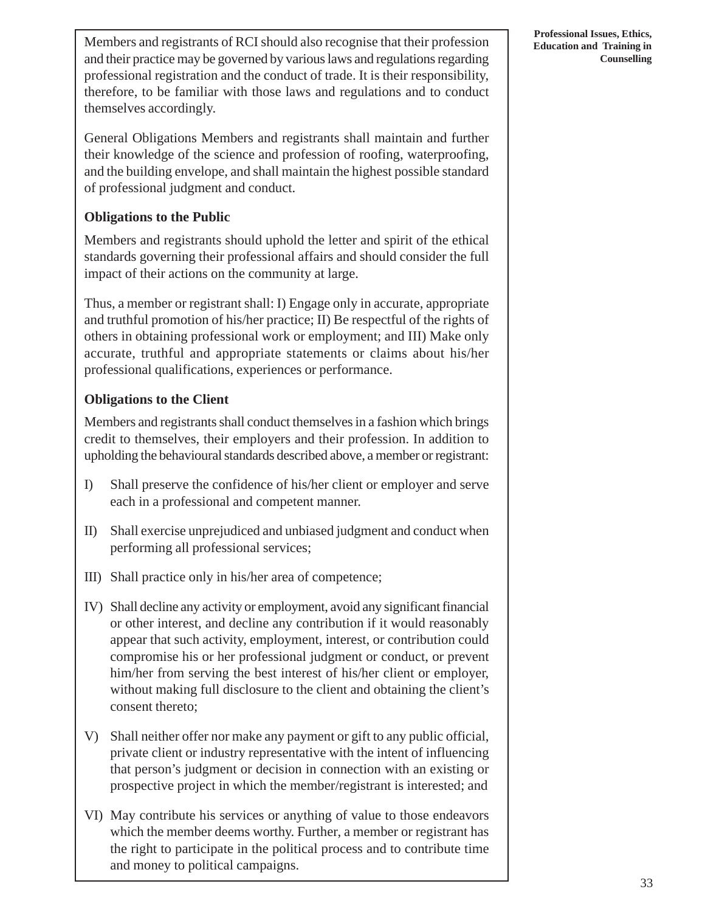Members and registrants of RCI should also recognise that their profession and their practice may be governed by various laws and regulations regarding professional registration and the conduct of trade. It is their responsibility, therefore, to be familiar with those laws and regulations and to conduct themselves accordingly.

General Obligations Members and registrants shall maintain and further their knowledge of the science and profession of roofing, waterproofing, and the building envelope, and shall maintain the highest possible standard of professional judgment and conduct.

### **Obligations to the Public**

Members and registrants should uphold the letter and spirit of the ethical standards governing their professional affairs and should consider the full impact of their actions on the community at large.

Thus, a member or registrant shall: I) Engage only in accurate, appropriate and truthful promotion of his/her practice; II) Be respectful of the rights of others in obtaining professional work or employment; and III) Make only accurate, truthful and appropriate statements or claims about his/her professional qualifications, experiences or performance.

### **Obligations to the Client**

Members and registrants shall conduct themselves in a fashion which brings credit to themselves, their employers and their profession. In addition to upholding the behavioural standards described above, a member or registrant:

- I) Shall preserve the confidence of his/her client or employer and serve each in a professional and competent manner.
- II) Shall exercise unprejudiced and unbiased judgment and conduct when performing all professional services;
- III) Shall practice only in his/her area of competence;
- IV) Shall decline any activity or employment, avoid any significant financial or other interest, and decline any contribution if it would reasonably appear that such activity, employment, interest, or contribution could compromise his or her professional judgment or conduct, or prevent him/her from serving the best interest of his/her client or employer, without making full disclosure to the client and obtaining the client's consent thereto;
- V) Shall neither offer nor make any payment or gift to any public official, private client or industry representative with the intent of influencing that person's judgment or decision in connection with an existing or prospective project in which the member/registrant is interested; and
- VI) May contribute his services or anything of value to those endeavors which the member deems worthy. Further, a member or registrant has the right to participate in the political process and to contribute time and money to political campaigns.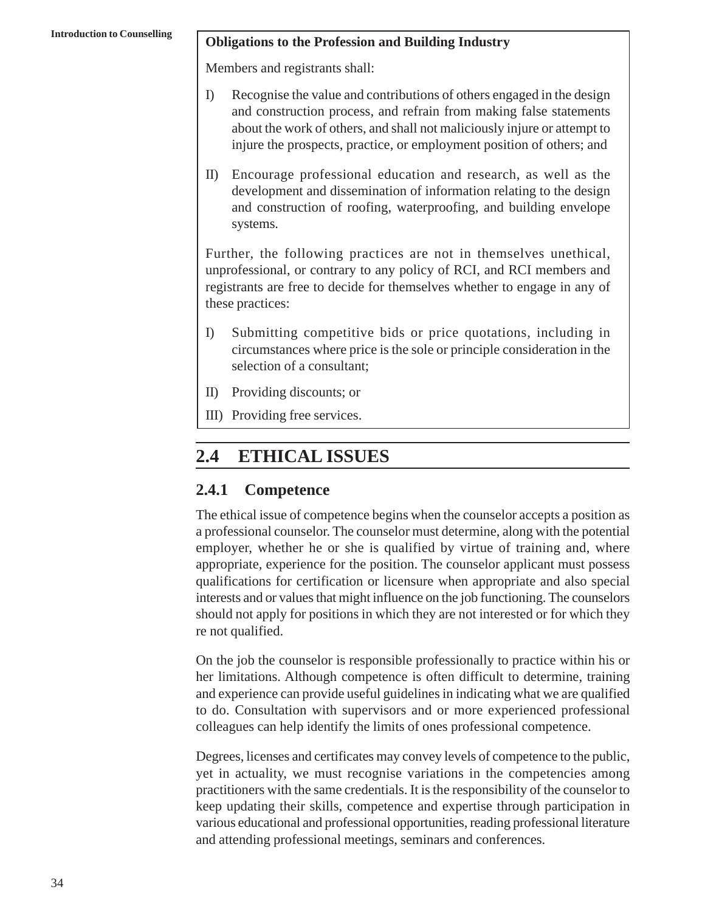# **Introduction to Counselling Obligations to the Profession and Building Industry**

Members and registrants shall:

- I) Recognise the value and contributions of others engaged in the design and construction process, and refrain from making false statements about the work of others, and shall not maliciously injure or attempt to injure the prospects, practice, or employment position of others; and
- II) Encourage professional education and research, as well as the development and dissemination of information relating to the design and construction of roofing, waterproofing, and building envelope systems.

Further, the following practices are not in themselves unethical, unprofessional, or contrary to any policy of RCI, and RCI members and registrants are free to decide for themselves whether to engage in any of these practices:

- I) Submitting competitive bids or price quotations, including in circumstances where price is the sole or principle consideration in the selection of a consultant;
- II) Providing discounts; or
- III) Providing free services.

# **2.4 ETHICAL ISSUES**

## **2.4.1 Competence**

The ethical issue of competence begins when the counselor accepts a position as a professional counselor. The counselor must determine, along with the potential employer, whether he or she is qualified by virtue of training and, where appropriate, experience for the position. The counselor applicant must possess qualifications for certification or licensure when appropriate and also special interests and or values that might influence on the job functioning. The counselors should not apply for positions in which they are not interested or for which they re not qualified.

On the job the counselor is responsible professionally to practice within his or her limitations. Although competence is often difficult to determine, training and experience can provide useful guidelines in indicating what we are qualified to do. Consultation with supervisors and or more experienced professional colleagues can help identify the limits of ones professional competence.

Degrees, licenses and certificates may convey levels of competence to the public, yet in actuality, we must recognise variations in the competencies among practitioners with the same credentials. It is the responsibility of the counselor to keep updating their skills, competence and expertise through participation in various educational and professional opportunities, reading professional literature and attending professional meetings, seminars and conferences.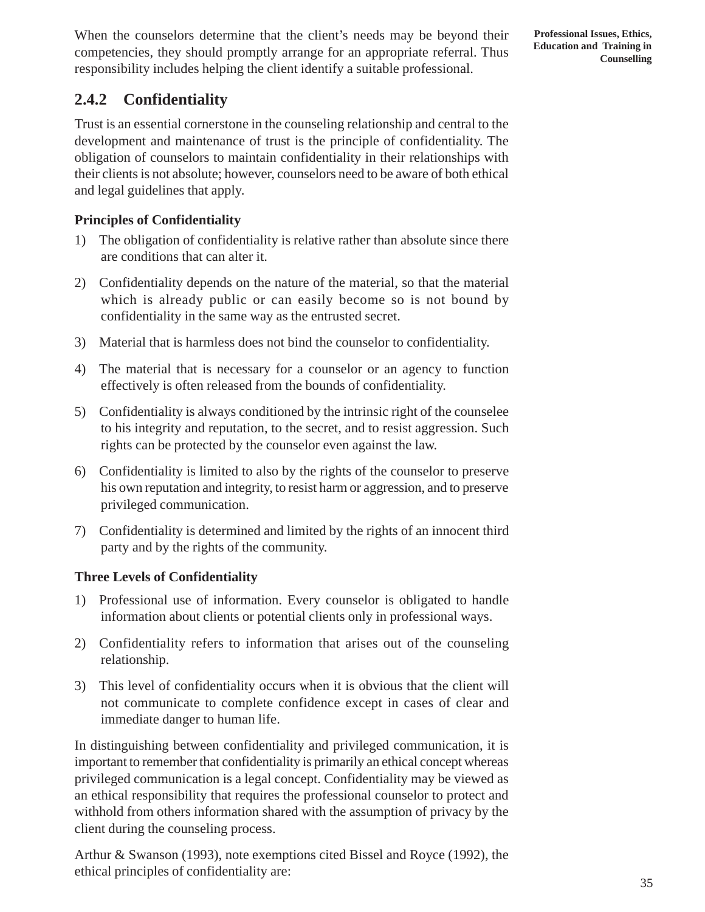When the counselors determine that the client's needs may be beyond their competencies, they should promptly arrange for an appropriate referral. Thus responsibility includes helping the client identify a suitable professional.

**Professional Issues, Ethics, Education and Training in Counselling**

## **2.4.2 Confidentiality**

Trust is an essential cornerstone in the counseling relationship and central to the development and maintenance of trust is the principle of confidentiality. The obligation of counselors to maintain confidentiality in their relationships with their clients is not absolute; however, counselors need to be aware of both ethical and legal guidelines that apply.

### **Principles of Confidentiality**

- 1) The obligation of confidentiality is relative rather than absolute since there are conditions that can alter it.
- 2) Confidentiality depends on the nature of the material, so that the material which is already public or can easily become so is not bound by confidentiality in the same way as the entrusted secret.
- 3) Material that is harmless does not bind the counselor to confidentiality.
- 4) The material that is necessary for a counselor or an agency to function effectively is often released from the bounds of confidentiality.
- 5) Confidentiality is always conditioned by the intrinsic right of the counselee to his integrity and reputation, to the secret, and to resist aggression. Such rights can be protected by the counselor even against the law.
- 6) Confidentiality is limited to also by the rights of the counselor to preserve his own reputation and integrity, to resist harm or aggression, and to preserve privileged communication.
- 7) Confidentiality is determined and limited by the rights of an innocent third party and by the rights of the community.

### **Three Levels of Confidentiality**

- 1) Professional use of information. Every counselor is obligated to handle information about clients or potential clients only in professional ways.
- 2) Confidentiality refers to information that arises out of the counseling relationship.
- 3) This level of confidentiality occurs when it is obvious that the client will not communicate to complete confidence except in cases of clear and immediate danger to human life.

In distinguishing between confidentiality and privileged communication, it is important to remember that confidentiality is primarily an ethical concept whereas privileged communication is a legal concept. Confidentiality may be viewed as an ethical responsibility that requires the professional counselor to protect and withhold from others information shared with the assumption of privacy by the client during the counseling process.

Arthur & Swanson (1993), note exemptions cited Bissel and Royce (1992), the ethical principles of confidentiality are: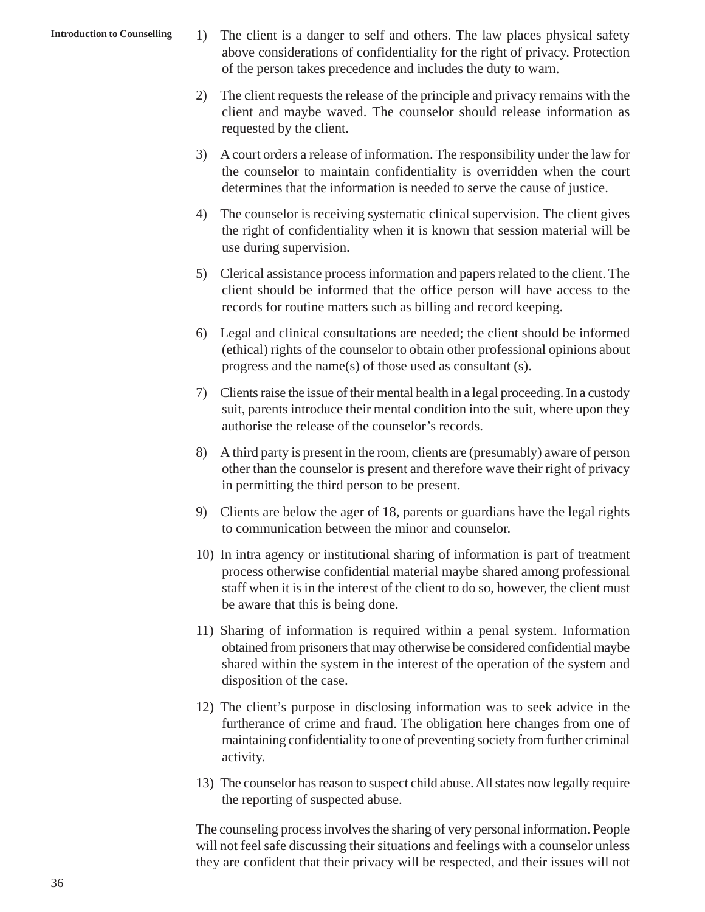- **Introduction to Counselling** 1) The client is a danger to self and others. The law places physical safety above considerations of confidentiality for the right of privacy. Protection of the person takes precedence and includes the duty to warn.
	- 2) The client requests the release of the principle and privacy remains with the client and maybe waved. The counselor should release information as requested by the client.
	- 3) A court orders a release of information. The responsibility under the law for the counselor to maintain confidentiality is overridden when the court determines that the information is needed to serve the cause of justice.
	- 4) The counselor is receiving systematic clinical supervision. The client gives the right of confidentiality when it is known that session material will be use during supervision.
	- 5) Clerical assistance process information and papers related to the client. The client should be informed that the office person will have access to the records for routine matters such as billing and record keeping.
	- 6) Legal and clinical consultations are needed; the client should be informed (ethical) rights of the counselor to obtain other professional opinions about progress and the name(s) of those used as consultant (s).
	- 7) Clients raise the issue of their mental health in a legal proceeding. In a custody suit, parents introduce their mental condition into the suit, where upon they authorise the release of the counselor's records.
	- 8) A third party is present in the room, clients are (presumably) aware of person other than the counselor is present and therefore wave their right of privacy in permitting the third person to be present.
	- 9) Clients are below the ager of 18, parents or guardians have the legal rights to communication between the minor and counselor.
	- 10) In intra agency or institutional sharing of information is part of treatment process otherwise confidential material maybe shared among professional staff when it is in the interest of the client to do so, however, the client must be aware that this is being done.
	- 11) Sharing of information is required within a penal system. Information obtained from prisoners that may otherwise be considered confidential maybe shared within the system in the interest of the operation of the system and disposition of the case.
	- 12) The client's purpose in disclosing information was to seek advice in the furtherance of crime and fraud. The obligation here changes from one of maintaining confidentiality to one of preventing society from further criminal activity.
	- 13) The counselor has reason to suspect child abuse. All states now legally require the reporting of suspected abuse.

The counseling process involves the sharing of very personal information. People will not feel safe discussing their situations and feelings with a counselor unless they are confident that their privacy will be respected, and their issues will not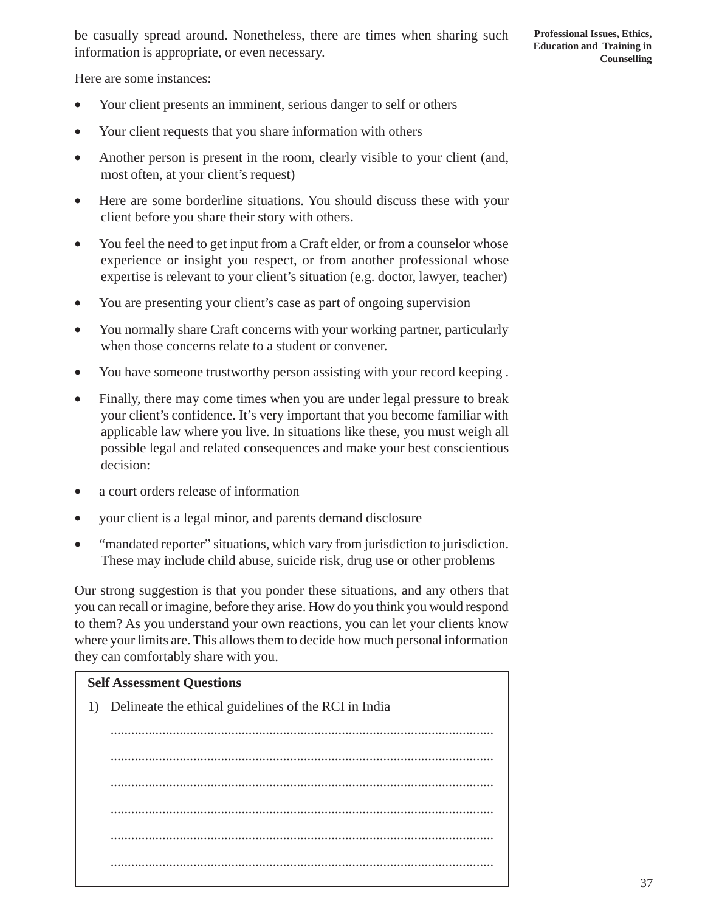be casually spread around. Nonetheless, there are times when sharing such information is appropriate, or even necessary.

Here are some instances:

- Your client presents an imminent, serious danger to self or others
- Your client requests that you share information with others
- Another person is present in the room, clearly visible to your client (and, most often, at your client's request)
- Here are some borderline situations. You should discuss these with your client before you share their story with others.
- You feel the need to get input from a Craft elder, or from a counselor whose experience or insight you respect, or from another professional whose expertise is relevant to your client's situation (e.g. doctor, lawyer, teacher)
- You are presenting your client's case as part of ongoing supervision
- You normally share Craft concerns with your working partner, particularly when those concerns relate to a student or convener.
- You have someone trustworthy person assisting with your record keeping.
- Finally, there may come times when you are under legal pressure to break your client's confidence. It's very important that you become familiar with applicable law where you live. In situations like these, you must weigh all possible legal and related consequences and make your best conscientious decision:
- a court orders release of information
- your client is a legal minor, and parents demand disclosure
- "mandated reporter" situations, which vary from jurisdiction to jurisdiction. These may include child abuse, suicide risk, drug use or other problems

Our strong suggestion is that you ponder these situations, and any others that you can recall or imagine, before they arise. How do you think you would respond to them? As you understand your own reactions, you can let your clients know where your limits are. This allows them to decide how much personal information they can comfortably share with you.

# **Self Assessment Questions**

1) Delineate the ethical guidelines of the RCI in India

............................................................................................................... ............................................................................................................... ............................................................................................................... ............................................................................................................... ............................................................................................................... ...............................................................................................................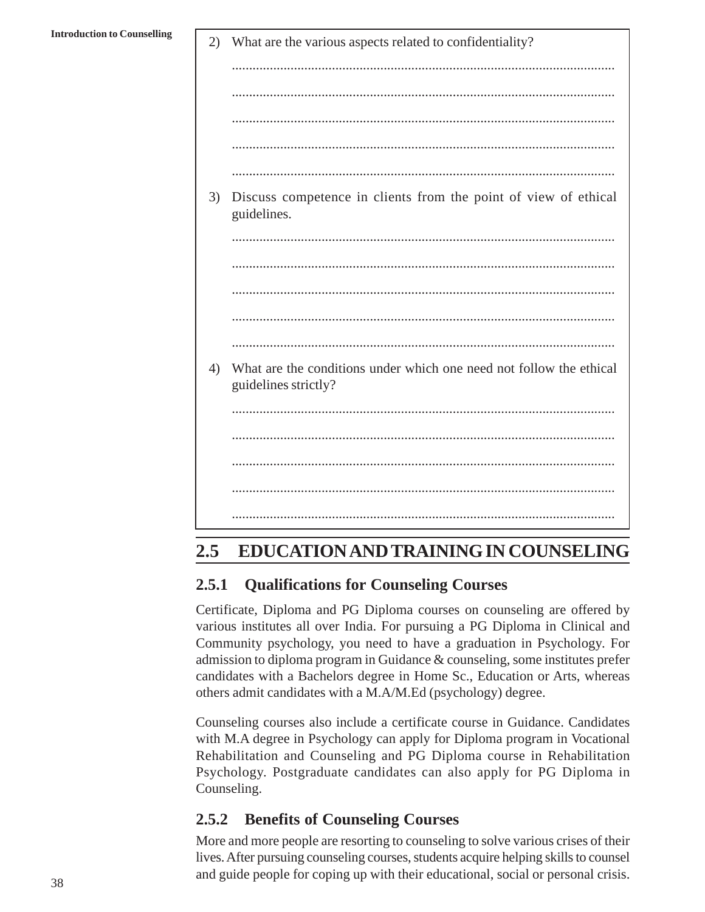Introduction to Counselling 2) What are the various aspects related to confidentiality? ............................................................................................................... ............................................................................................................... ............................................................................................................... ............................................................................................................... ............................................................................................................... 3) Discuss competence in clients from the point of view of ethical guidelines. ............................................................................................................... ............................................................................................................... ............................................................................................................... ............................................................................................................... ............................................................................................................... 4) What are the conditions under which one need not follow the ethical guidelines strictly? ............................................................................................................... ............................................................................................................... ............................................................................................................... ............................................................................................................... ...............................................................................................................

# **2.5 EDUCATION AND TRAINING IN COUNSELING**

### **2.5.1 Qualifications for Counseling Courses**

Certificate, Diploma and PG Diploma courses on counseling are offered by various institutes all over India. For pursuing a PG Diploma in Clinical and Community psychology, you need to have a graduation in Psychology. For admission to diploma program in Guidance & counseling, some institutes prefer candidates with a Bachelors degree in Home Sc., Education or Arts, whereas others admit candidates with a M.A/M.Ed (psychology) degree.

Counseling courses also include a certificate course in Guidance. Candidates with M.A degree in Psychology can apply for Diploma program in Vocational Rehabilitation and Counseling and PG Diploma course in Rehabilitation Psychology. Postgraduate candidates can also apply for PG Diploma in Counseling.

## **2.5.2 Benefits of Counseling Courses**

More and more people are resorting to counseling to solve various crises of their lives. After pursuing counseling courses, students acquire helping skills to counsel and guide people for coping up with their educational, social or personal crisis.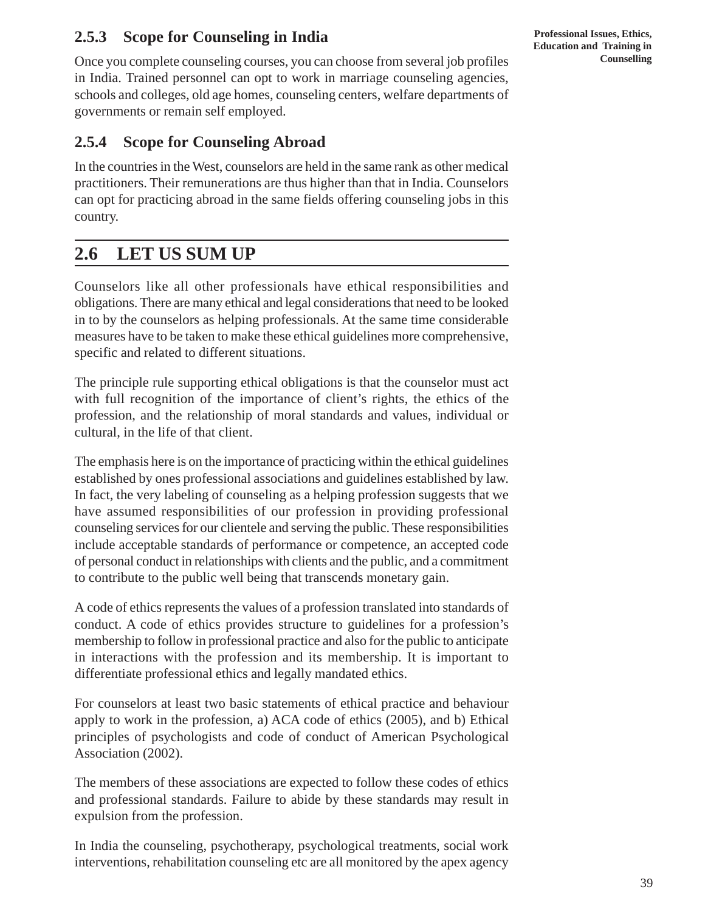## **2.5.3 Scope for Counseling in India**

Once you complete counseling courses, you can choose from several job profiles in India. Trained personnel can opt to work in marriage counseling agencies, schools and colleges, old age homes, counseling centers, welfare departments of governments or remain self employed.

## **2.5.4 Scope for Counseling Abroad**

In the countries in the West, counselors are held in the same rank as other medical practitioners. Their remunerations are thus higher than that in India. Counselors can opt for practicing abroad in the same fields offering counseling jobs in this country.

# **2.6 LET US SUM UP**

Counselors like all other professionals have ethical responsibilities and obligations. There are many ethical and legal considerations that need to be looked in to by the counselors as helping professionals. At the same time considerable measures have to be taken to make these ethical guidelines more comprehensive, specific and related to different situations.

The principle rule supporting ethical obligations is that the counselor must act with full recognition of the importance of client's rights, the ethics of the profession, and the relationship of moral standards and values, individual or cultural, in the life of that client.

The emphasis here is on the importance of practicing within the ethical guidelines established by ones professional associations and guidelines established by law. In fact, the very labeling of counseling as a helping profession suggests that we have assumed responsibilities of our profession in providing professional counseling services for our clientele and serving the public. These responsibilities include acceptable standards of performance or competence, an accepted code of personal conduct in relationships with clients and the public, and a commitment to contribute to the public well being that transcends monetary gain.

A code of ethics represents the values of a profession translated into standards of conduct. A code of ethics provides structure to guidelines for a profession's membership to follow in professional practice and also for the public to anticipate in interactions with the profession and its membership. It is important to differentiate professional ethics and legally mandated ethics.

For counselors at least two basic statements of ethical practice and behaviour apply to work in the profession, a) ACA code of ethics (2005), and b) Ethical principles of psychologists and code of conduct of American Psychological Association (2002).

The members of these associations are expected to follow these codes of ethics and professional standards. Failure to abide by these standards may result in expulsion from the profession.

In India the counseling, psychotherapy, psychological treatments, social work interventions, rehabilitation counseling etc are all monitored by the apex agency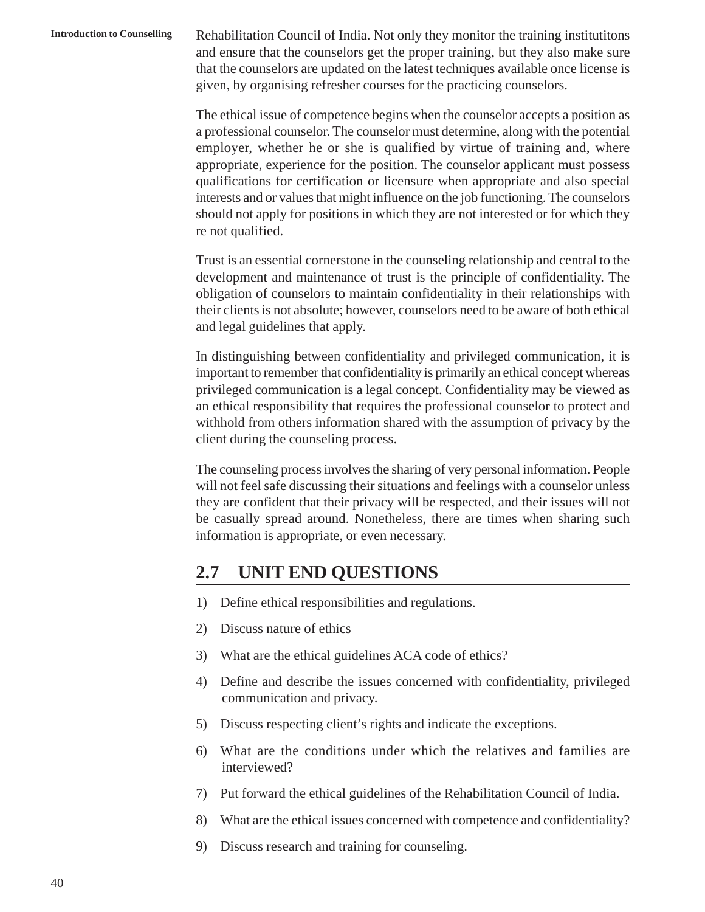**Introduction to Counselling** Rehabilitation Council of India. Not only they monitor the training institutitons and ensure that the counselors get the proper training, but they also make sure that the counselors are updated on the latest techniques available once license is given, by organising refresher courses for the practicing counselors.

> The ethical issue of competence begins when the counselor accepts a position as a professional counselor. The counselor must determine, along with the potential employer, whether he or she is qualified by virtue of training and, where appropriate, experience for the position. The counselor applicant must possess qualifications for certification or licensure when appropriate and also special interests and or values that might influence on the job functioning. The counselors should not apply for positions in which they are not interested or for which they re not qualified.

> Trust is an essential cornerstone in the counseling relationship and central to the development and maintenance of trust is the principle of confidentiality. The obligation of counselors to maintain confidentiality in their relationships with their clients is not absolute; however, counselors need to be aware of both ethical and legal guidelines that apply.

> In distinguishing between confidentiality and privileged communication, it is important to remember that confidentiality is primarily an ethical concept whereas privileged communication is a legal concept. Confidentiality may be viewed as an ethical responsibility that requires the professional counselor to protect and withhold from others information shared with the assumption of privacy by the client during the counseling process.

> The counseling process involves the sharing of very personal information. People will not feel safe discussing their situations and feelings with a counselor unless they are confident that their privacy will be respected, and their issues will not be casually spread around. Nonetheless, there are times when sharing such information is appropriate, or even necessary.

# **2.7 UNIT END QUESTIONS**

- 1) Define ethical responsibilities and regulations.
- 2) Discuss nature of ethics
- 3) What are the ethical guidelines ACA code of ethics?
- 4) Define and describe the issues concerned with confidentiality, privileged communication and privacy.
- 5) Discuss respecting client's rights and indicate the exceptions.
- 6) What are the conditions under which the relatives and families are interviewed?
- 7) Put forward the ethical guidelines of the Rehabilitation Council of India.
- 8) What are the ethical issues concerned with competence and confidentiality?
- 9) Discuss research and training for counseling.